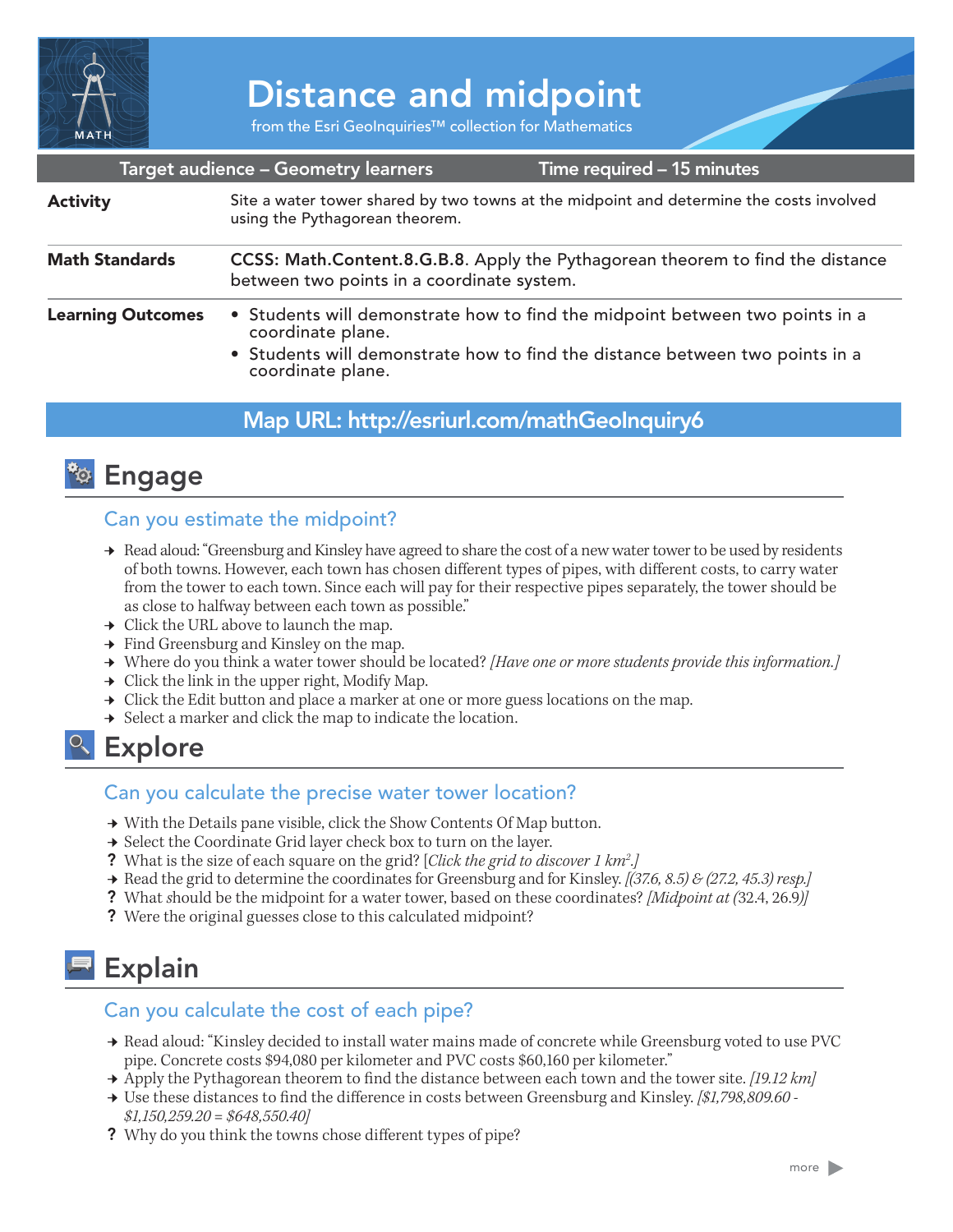

# Distance and midpoint

from the Esri GeoInquiries™ collection for Mathematics

|                          | Target audience - Geometry learners                                                                                                                                                                    | Time required - 15 minutes                                                              |
|--------------------------|--------------------------------------------------------------------------------------------------------------------------------------------------------------------------------------------------------|-----------------------------------------------------------------------------------------|
| <b>Activity</b>          | using the Pythagorean theorem.                                                                                                                                                                         | Site a water tower shared by two towns at the midpoint and determine the costs involved |
| <b>Math Standards</b>    | CCSS: Math.Content.8.G.B.8. Apply the Pythagorean theorem to find the distance<br>between two points in a coordinate system.                                                                           |                                                                                         |
| <b>Learning Outcomes</b> | • Students will demonstrate how to find the midpoint between two points in a<br>coordinate plane.<br>• Students will demonstrate how to find the distance between two points in a<br>coordinate plane. |                                                                                         |

## Map URL: http://esriurl.com/mathGeoInquiry6



## Can you estimate the midpoint?

- → Read aloud: "Greensburg and Kinsley have agreed to share the cost of a new water tower to be used by residents of both towns. However, each town has chosen different types of pipes, with different costs, to carry water from the tower to each town. Since each will pay for their respective pipes separately, the tower should be as close to halfway between each town as possible."
- $\rightarrow$  Click the URL above to launch the map.
- $\rightarrow$  Find Greensburg and Kinsley on the map.
- ʅ Where do you think a water tower should be located? *[Have one or more students provide this information.]*
- $\rightarrow$  Click the link in the upper right, Modify Map.
- $\rightarrow$  Click the Edit button and place a marker at one or more guess locations on the map.
- $\rightarrow$  Select a marker and click the map to indicate the location.

## <sup>o</sup> Explore

#### Can you calculate the precise water tower location?

- $\rightarrow$  With the Details pane visible, click the Show Contents Of Map button.
- **→** Select the Coordinate Grid layer check box to turn on the layer.
- ? What is the size of each square on the grid? [*Click the grid to discover 1 km2 .]*
- ʅ Read the grid to determine the coordinates for Greensburg and for Kinsley. *[(37.6, 8.5) & (27.2, 45.3) resp.]*
- ? What *s*hould be the midpoint for a water tower, based on these coordinates? *[Midpoint at (*32.4, 26.9*)]*
- ? Were the original guesses close to this calculated midpoint?

# Explain

#### Can you calculate the cost of each pipe?

- → Read aloud: "Kinsley decided to install water mains made of concrete while Greensburg voted to use PVC pipe. Concrete costs \$94,080 per kilometer and PVC costs \$60,160 per kilometer."
- **→** Apply the Pythagorean theorem to find the distance between each town and the tower site. *[19.12 km]*
- ʅ Use these distances to find the difference in costs between Greensburg and Kinsley. *[\$1,798,809.60 \$1,150,259.20 = \$648,550.40]*
- ? Why do you think the towns chose different types of pipe?